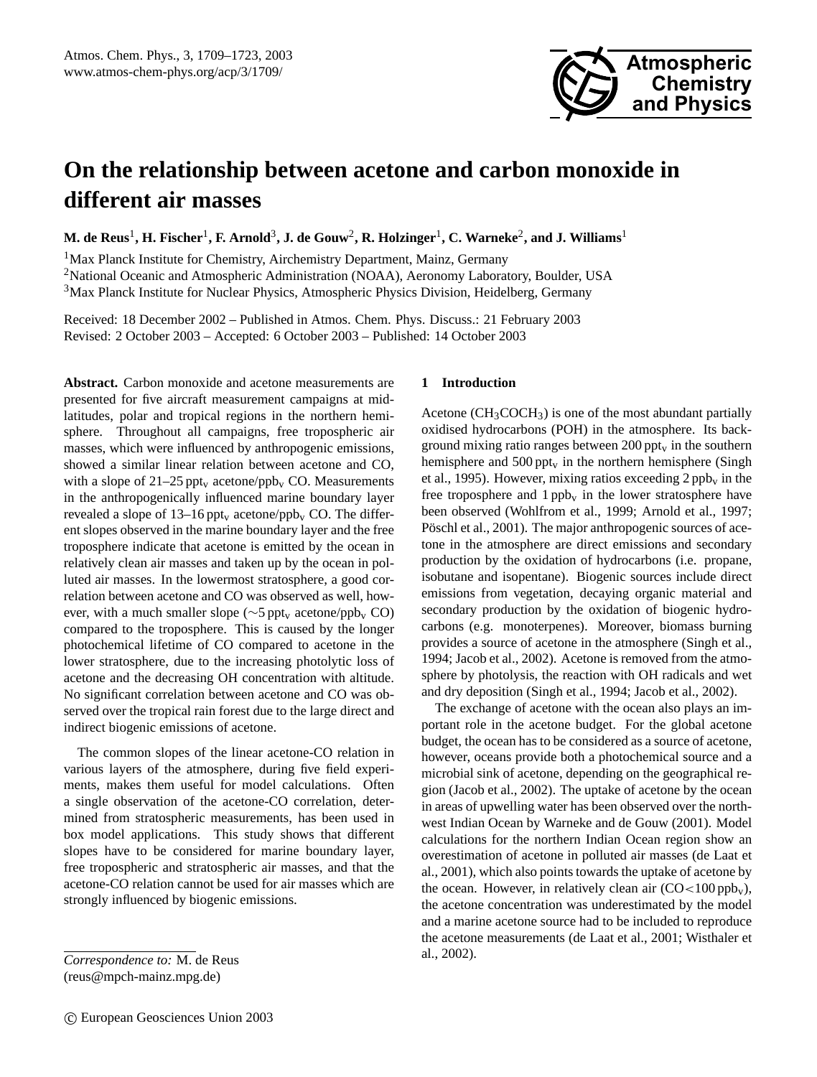

# **On the relationship between acetone and carbon monoxide in different air masses**

 ${\bf M.\,de~Reus}^1,$   ${\bf H.\,Fischer}^1,$   ${\bf F.\,Arnold}^3,$   ${\bf J.\,de~Gouw}^2,$   ${\bf R.\,Holzinger}^1,$   ${\bf C.\,Warneke}^2,$  and  ${\bf J.\,Williams}^1$ 

<sup>1</sup>Max Planck Institute for Chemistry, Airchemistry Department, Mainz, Germany <sup>2</sup>National Oceanic and Atmospheric Administration (NOAA), Aeronomy Laboratory, Boulder, USA <sup>3</sup>Max Planck Institute for Nuclear Physics, Atmospheric Physics Division, Heidelberg, Germany

Received: 18 December 2002 – Published in Atmos. Chem. Phys. Discuss.: 21 February 2003 Revised: 2 October 2003 – Accepted: 6 October 2003 – Published: 14 October 2003

**Abstract.** Carbon monoxide and acetone measurements are presented for five aircraft measurement campaigns at midlatitudes, polar and tropical regions in the northern hemisphere. Throughout all campaigns, free tropospheric air masses, which were influenced by anthropogenic emissions, showed a similar linear relation between acetone and CO, with a slope of  $21-25$  ppt<sub>v</sub> acetone/ppb<sub>v</sub> CO. Measurements in the anthropogenically influenced marine boundary layer revealed a slope of  $13-16$  ppt<sub>v</sub> acetone/ppb<sub>v</sub> CO. The different slopes observed in the marine boundary layer and the free troposphere indicate that acetone is emitted by the ocean in relatively clean air masses and taken up by the ocean in polluted air masses. In the lowermost stratosphere, a good correlation between acetone and CO was observed as well, however, with a much smaller slope ( $\sim$ 5 ppt<sub>v</sub> acetone/ppb<sub>v</sub> CO) compared to the troposphere. This is caused by the longer photochemical lifetime of CO compared to acetone in the lower stratosphere, due to the increasing photolytic loss of acetone and the decreasing OH concentration with altitude. No significant correlation between acetone and CO was observed over the tropical rain forest due to the large direct and indirect biogenic emissions of acetone.

The common slopes of the linear acetone-CO relation in various layers of the atmosphere, during five field experiments, makes them useful for model calculations. Often a single observation of the acetone-CO correlation, determined from stratospheric measurements, has been used in box model applications. This study shows that different slopes have to be considered for marine boundary layer, free tropospheric and stratospheric air masses, and that the acetone-CO relation cannot be used for air masses which are strongly influenced by biogenic emissions.

#### **1 Introduction**

Acetone  $(CH_3COCH_3)$  is one of the most abundant partially oxidised hydrocarbons (POH) in the atmosphere. Its background mixing ratio ranges between  $200 \text{ppt}_v$  in the southern hemisphere and  $500 \text{ppt}_v$  in the northern hemisphere (Singh et al., 1995). However, mixing ratios exceeding  $2 \text{ pb}v$  in the free troposphere and  $1$  ppb<sub>v</sub> in the lower stratosphere have been observed (Wohlfrom et al., 1999; Arnold et al., 1997; Pöschl et al., 2001). The major anthropogenic sources of acetone in the atmosphere are direct emissions and secondary production by the oxidation of hydrocarbons (i.e. propane, isobutane and isopentane). Biogenic sources include direct emissions from vegetation, decaying organic material and secondary production by the oxidation of biogenic hydrocarbons (e.g. monoterpenes). Moreover, biomass burning provides a source of acetone in the atmosphere (Singh et al., 1994; Jacob et al., 2002). Acetone is removed from the atmosphere by photolysis, the reaction with OH radicals and wet and dry deposition (Singh et al., 1994; Jacob et al., 2002).

The exchange of acetone with the ocean also plays an important role in the acetone budget. For the global acetone budget, the ocean has to be considered as a source of acetone, however, oceans provide both a photochemical source and a microbial sink of acetone, depending on the geographical region (Jacob et al., 2002). The uptake of acetone by the ocean in areas of upwelling water has been observed over the northwest Indian Ocean by Warneke and de Gouw (2001). Model calculations for the northern Indian Ocean region show an overestimation of acetone in polluted air masses (de Laat et al., 2001), which also points towards the uptake of acetone by the ocean. However, in relatively clean air  $(CO<100$  ppb<sub>v</sub>), the acetone concentration was underestimated by the model and a marine acetone source had to be included to reproduce the acetone measurements (de Laat et al., 2001; Wisthaler et al., 2002).

*Correspondence to:* M. de Reus (reus@mpch-mainz.mpg.de)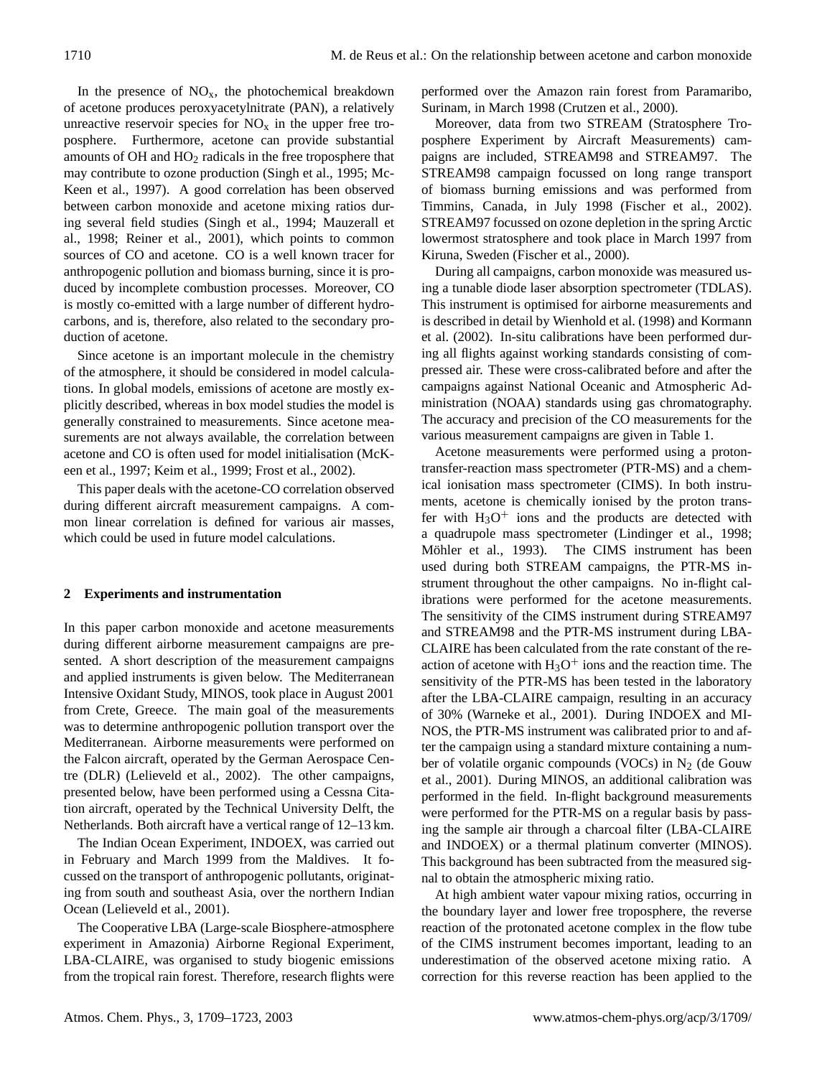In the presence of  $NO<sub>x</sub>$ , the photochemical breakdown of acetone produces peroxyacetylnitrate (PAN), a relatively unreactive reservoir species for  $NO<sub>x</sub>$  in the upper free troposphere. Furthermore, acetone can provide substantial amounts of OH and  $HO<sub>2</sub>$  radicals in the free troposphere that may contribute to ozone production (Singh et al., 1995; Mc-Keen et al., 1997). A good correlation has been observed between carbon monoxide and acetone mixing ratios during several field studies (Singh et al., 1994; Mauzerall et al., 1998; Reiner et al., 2001), which points to common sources of CO and acetone. CO is a well known tracer for anthropogenic pollution and biomass burning, since it is produced by incomplete combustion processes. Moreover, CO is mostly co-emitted with a large number of different hydrocarbons, and is, therefore, also related to the secondary production of acetone.

Since acetone is an important molecule in the chemistry of the atmosphere, it should be considered in model calculations. In global models, emissions of acetone are mostly explicitly described, whereas in box model studies the model is generally constrained to measurements. Since acetone measurements are not always available, the correlation between acetone and CO is often used for model initialisation (McKeen et al., 1997; Keim et al., 1999; Frost et al., 2002).

This paper deals with the acetone-CO correlation observed during different aircraft measurement campaigns. A common linear correlation is defined for various air masses, which could be used in future model calculations.

## **2 Experiments and instrumentation**

In this paper carbon monoxide and acetone measurements during different airborne measurement campaigns are presented. A short description of the measurement campaigns and applied instruments is given below. The Mediterranean Intensive Oxidant Study, MINOS, took place in August 2001 from Crete, Greece. The main goal of the measurements was to determine anthropogenic pollution transport over the Mediterranean. Airborne measurements were performed on the Falcon aircraft, operated by the German Aerospace Centre (DLR) (Lelieveld et al., 2002). The other campaigns, presented below, have been performed using a Cessna Citation aircraft, operated by the Technical University Delft, the Netherlands. Both aircraft have a vertical range of 12–13 km.

The Indian Ocean Experiment, INDOEX, was carried out in February and March 1999 from the Maldives. It focussed on the transport of anthropogenic pollutants, originating from south and southeast Asia, over the northern Indian Ocean (Lelieveld et al., 2001).

The Cooperative LBA (Large-scale Biosphere-atmosphere experiment in Amazonia) Airborne Regional Experiment, LBA-CLAIRE, was organised to study biogenic emissions from the tropical rain forest. Therefore, research flights were performed over the Amazon rain forest from Paramaribo, Surinam, in March 1998 (Crutzen et al., 2000).

Moreover, data from two STREAM (Stratosphere Troposphere Experiment by Aircraft Measurements) campaigns are included, STREAM98 and STREAM97. The STREAM98 campaign focussed on long range transport of biomass burning emissions and was performed from Timmins, Canada, in July 1998 (Fischer et al., 2002). STREAM97 focussed on ozone depletion in the spring Arctic lowermost stratosphere and took place in March 1997 from Kiruna, Sweden (Fischer et al., 2000).

During all campaigns, carbon monoxide was measured using a tunable diode laser absorption spectrometer (TDLAS). This instrument is optimised for airborne measurements and is described in detail by Wienhold et al. (1998) and Kormann et al. (2002). In-situ calibrations have been performed during all flights against working standards consisting of compressed air. These were cross-calibrated before and after the campaigns against National Oceanic and Atmospheric Administration (NOAA) standards using gas chromatography. The accuracy and precision of the CO measurements for the various measurement campaigns are given in Table 1.

Acetone measurements were performed using a protontransfer-reaction mass spectrometer (PTR-MS) and a chemical ionisation mass spectrometer (CIMS). In both instruments, acetone is chemically ionised by the proton transfer with  $H_3O^+$  ions and the products are detected with a quadrupole mass spectrometer (Lindinger et al., 1998; Möhler et al., 1993). The CIMS instrument has been used during both STREAM campaigns, the PTR-MS instrument throughout the other campaigns. No in-flight calibrations were performed for the acetone measurements. The sensitivity of the CIMS instrument during STREAM97 and STREAM98 and the PTR-MS instrument during LBA-CLAIRE has been calculated from the rate constant of the reaction of acetone with  $H_3O^+$  ions and the reaction time. The sensitivity of the PTR-MS has been tested in the laboratory after the LBA-CLAIRE campaign, resulting in an accuracy of 30% (Warneke et al., 2001). During INDOEX and MI-NOS, the PTR-MS instrument was calibrated prior to and after the campaign using a standard mixture containing a number of volatile organic compounds (VOCs) in  $N_2$  (de Gouw et al., 2001). During MINOS, an additional calibration was performed in the field. In-flight background measurements were performed for the PTR-MS on a regular basis by passing the sample air through a charcoal filter (LBA-CLAIRE and INDOEX) or a thermal platinum converter (MINOS). This background has been subtracted from the measured signal to obtain the atmospheric mixing ratio.

At high ambient water vapour mixing ratios, occurring in the boundary layer and lower free troposphere, the reverse reaction of the protonated acetone complex in the flow tube of the CIMS instrument becomes important, leading to an underestimation of the observed acetone mixing ratio. A correction for this reverse reaction has been applied to the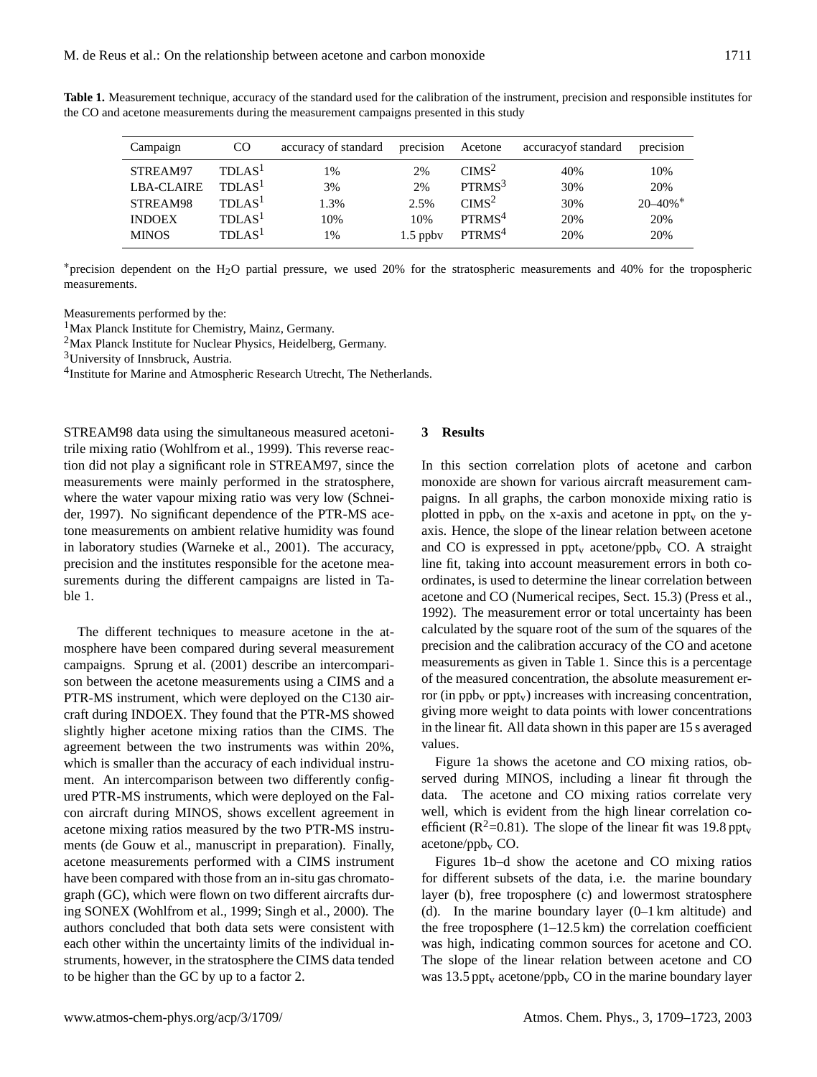| Campaign          | <sub>CO</sub>      | accuracy of standard | precision  | Acetone            | accuracy of standard | precision                |
|-------------------|--------------------|----------------------|------------|--------------------|----------------------|--------------------------|
| STREAM97          | TDLAS <sup>1</sup> | 1%                   | 2%         | CIMS <sup>2</sup>  | 40%                  | 10%                      |
| <b>LBA-CLAIRE</b> | TDLAS <sup>1</sup> | 3%                   | 2%         | PTRMS <sup>3</sup> | 30%                  | 20%                      |
| STREAM98          | TDLAS <sup>1</sup> | 1.3%                 | 2.5%       | CIMS <sup>2</sup>  | 30%                  | $20 - 40\%$ <sup>*</sup> |
| <b>INDOEX</b>     | TDLAS <sup>1</sup> | 10%                  | 10%        | PTRMS <sup>4</sup> | 20%                  | 20%                      |
| <b>MINOS</b>      | TDLAS <sup>1</sup> | 1%                   | $1.5$ ppby | PTRMS <sup>4</sup> | 20%                  | 20%                      |

**Table 1.** Measurement technique, accuracy of the standard used for the calibration of the instrument, precision and responsible institutes for the CO and acetone measurements during the measurement campaigns presented in this study

<sup>∗</sup>precision dependent on the H2O partial pressure, we used 20% for the stratospheric measurements and 40% for the tropospheric measurements.

Measurements performed by the:

<sup>1</sup>Max Planck Institute for Chemistry, Mainz, Germany.

<sup>2</sup>Max Planck Institute for Nuclear Physics, Heidelberg, Germany.

<sup>3</sup>University of Innsbruck, Austria.

<sup>4</sup>Institute for Marine and Atmospheric Research Utrecht, The Netherlands.

STREAM98 data using the simultaneous measured acetonitrile mixing ratio (Wohlfrom et al., 1999). This reverse reaction did not play a significant role in STREAM97, since the measurements were mainly performed in the stratosphere, where the water vapour mixing ratio was very low (Schneider, 1997). No significant dependence of the PTR-MS acetone measurements on ambient relative humidity was found in laboratory studies (Warneke et al., 2001). The accuracy, precision and the institutes responsible for the acetone measurements during the different campaigns are listed in Table 1.

The different techniques to measure acetone in the atmosphere have been compared during several measurement campaigns. Sprung et al. (2001) describe an intercomparison between the acetone measurements using a CIMS and a PTR-MS instrument, which were deployed on the C130 aircraft during INDOEX. They found that the PTR-MS showed slightly higher acetone mixing ratios than the CIMS. The agreement between the two instruments was within 20%, which is smaller than the accuracy of each individual instrument. An intercomparison between two differently configured PTR-MS instruments, which were deployed on the Falcon aircraft during MINOS, shows excellent agreement in acetone mixing ratios measured by the two PTR-MS instruments (de Gouw et al., manuscript in preparation). Finally, acetone measurements performed with a CIMS instrument have been compared with those from an in-situ gas chromatograph (GC), which were flown on two different aircrafts during SONEX (Wohlfrom et al., 1999; Singh et al., 2000). The authors concluded that both data sets were consistent with each other within the uncertainty limits of the individual instruments, however, in the stratosphere the CIMS data tended to be higher than the GC by up to a factor 2.

# **3 Results**

In this section correlation plots of acetone and carbon monoxide are shown for various aircraft measurement campaigns. In all graphs, the carbon monoxide mixing ratio is plotted in  $pp_{v}$  on the x-axis and acetone in  $ppt_{v}$  on the yaxis. Hence, the slope of the linear relation between acetone and CO is expressed in ppt<sub>v</sub> acetone/ppb<sub>v</sub> CO. A straight line fit, taking into account measurement errors in both coordinates, is used to determine the linear correlation between acetone and CO (Numerical recipes, Sect. 15.3) (Press et al., 1992). The measurement error or total uncertainty has been calculated by the square root of the sum of the squares of the precision and the calibration accuracy of the CO and acetone measurements as given in Table 1. Since this is a percentage of the measured concentration, the absolute measurement error (in  $ppb_v$  or  $ppt_v$ ) increases with increasing concentration, giving more weight to data points with lower concentrations in the linear fit. All data shown in this paper are 15 s averaged values.

Figure 1a shows the acetone and CO mixing ratios, observed during MINOS, including a linear fit through the data. The acetone and CO mixing ratios correlate very well, which is evident from the high linear correlation coefficient ( $\mathbb{R}^2$ =0.81). The slope of the linear fit was 19.8 ppt<sub>v</sub>  $acetone/ppb<sub>v</sub> CO.$ 

Figures 1b–d show the acetone and CO mixing ratios for different subsets of the data, i.e. the marine boundary layer (b), free troposphere (c) and lowermost stratosphere (d). In the marine boundary layer  $(0-1)$  km altitude) and the free troposphere  $(1-12.5 \text{ km})$  the correlation coefficient was high, indicating common sources for acetone and CO. The slope of the linear relation between acetone and CO was 13.5 ppt<sub>v</sub> acetone/ppb<sub>v</sub> CO in the marine boundary layer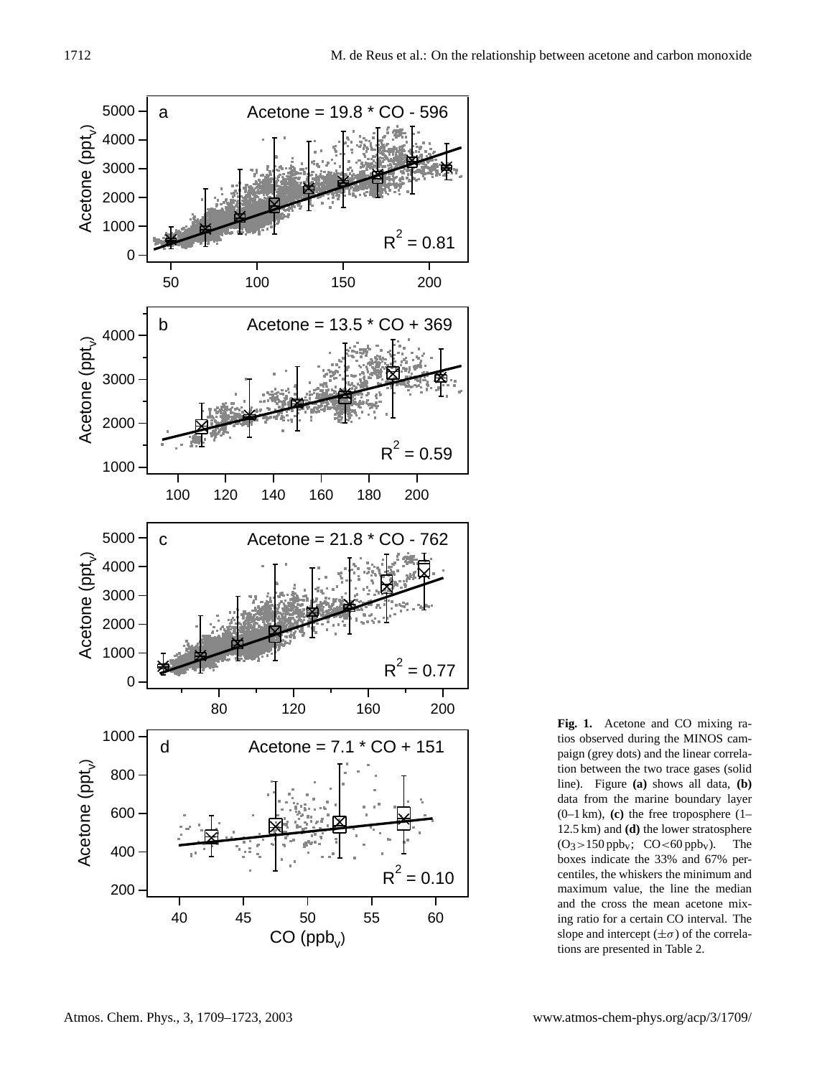

**Fig. 1.** Acetone and CO mixing ratios observed during the MINOS campaign (grey dots) and the linear correlation between the two trace gases (solid line). Figure **(a)** shows all data, **(b)** data from the marine boundary layer (0–1 km), **(c)** the free troposphere (1– 12.5 km) and **(d)** the lower stratosphere  $(O_3>150$  ppb<sub>v</sub>;  $CO<60$  ppb<sub>v</sub>). The boxes indicate the 33% and 67% percentiles, the whiskers the minimum and maximum value, the line the median and the cross the mean acetone mixing ratio for a certain CO interval. The slope and intercept  $(\pm \sigma)$  of the correlations are presented in Table 2.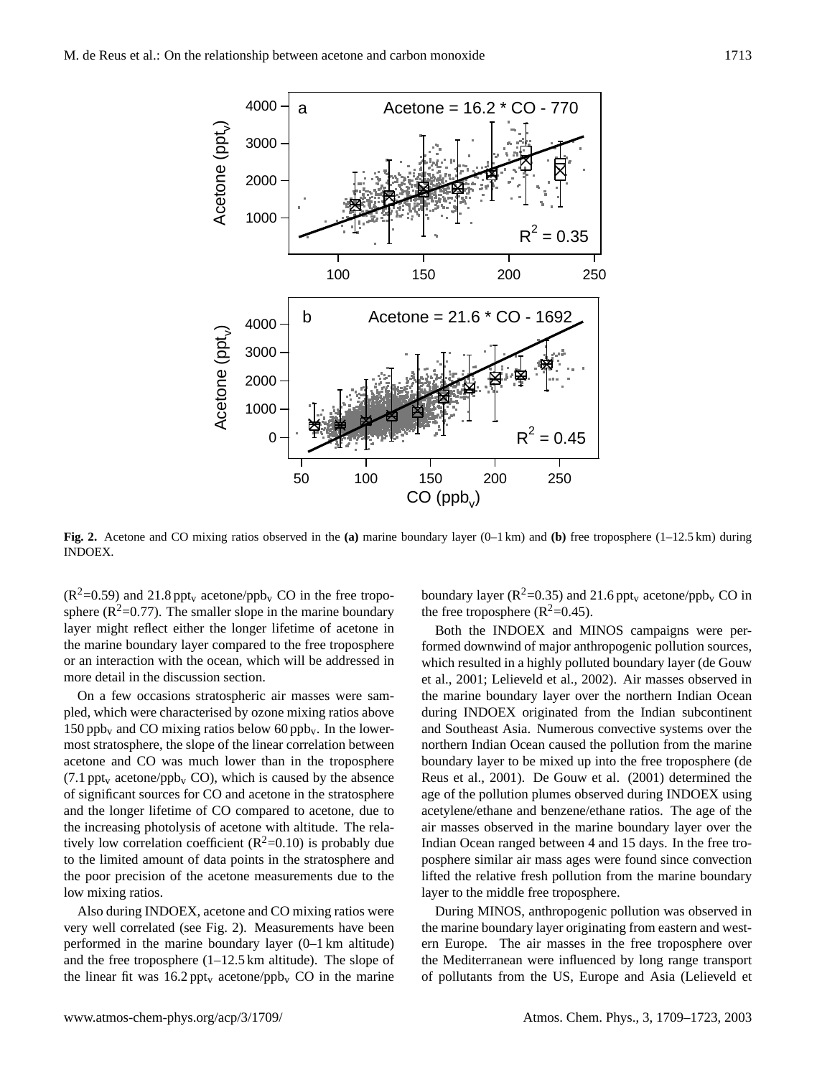

**Fig. 2.** Acetone and CO mixing ratios observed in the **(a)** marine boundary layer (0–1 km) and **(b)** free troposphere (1–12.5 km) during INDOEX.

 $(R^2=0.59)$  and 21.8 ppt<sub>v</sub> acetone/ppb<sub>v</sub> CO in the free troposphere ( $R^2$ =0.77). The smaller slope in the marine boundary layer might reflect either the longer lifetime of acetone in the marine boundary layer compared to the free troposphere or an interaction with the ocean, which will be addressed in more detail in the discussion section.

On a few occasions stratospheric air masses were sampled, which were characterised by ozone mixing ratios above 150 ppb<sub>v</sub> and CO mixing ratios below 60 ppb<sub>v</sub>. In the lowermost stratosphere, the slope of the linear correlation between acetone and CO was much lower than in the troposphere  $(7.1 \text{ppt}_v \text{ acetone}/\text{ppb}_v \text{CO})$ , which is caused by the absence of significant sources for CO and acetone in the stratosphere and the longer lifetime of CO compared to acetone, due to the increasing photolysis of acetone with altitude. The relatively low correlation coefficient  $(R^2=0.10)$  is probably due to the limited amount of data points in the stratosphere and the poor precision of the acetone measurements due to the low mixing ratios.

Also during INDOEX, acetone and CO mixing ratios were very well correlated (see Fig. 2). Measurements have been performed in the marine boundary layer (0–1 km altitude) and the free troposphere (1–12.5 km altitude). The slope of the linear fit was  $16.2 \text{ppt}_v$  acetone/ppb<sub>v</sub> CO in the marine boundary layer ( $R^2$ =0.35) and 21.6 ppt<sub>v</sub> acetone/ppb<sub>v</sub> CO in the free troposphere  $(R^2=0.45)$ .

Both the INDOEX and MINOS campaigns were performed downwind of major anthropogenic pollution sources, which resulted in a highly polluted boundary layer (de Gouw et al., 2001; Lelieveld et al., 2002). Air masses observed in the marine boundary layer over the northern Indian Ocean during INDOEX originated from the Indian subcontinent and Southeast Asia. Numerous convective systems over the northern Indian Ocean caused the pollution from the marine boundary layer to be mixed up into the free troposphere (de Reus et al., 2001). De Gouw et al. (2001) determined the age of the pollution plumes observed during INDOEX using acetylene/ethane and benzene/ethane ratios. The age of the air masses observed in the marine boundary layer over the Indian Ocean ranged between 4 and 15 days. In the free troposphere similar air mass ages were found since convection lifted the relative fresh pollution from the marine boundary layer to the middle free troposphere.

During MINOS, anthropogenic pollution was observed in the marine boundary layer originating from eastern and western Europe. The air masses in the free troposphere over the Mediterranean were influenced by long range transport of pollutants from the US, Europe and Asia (Lelieveld et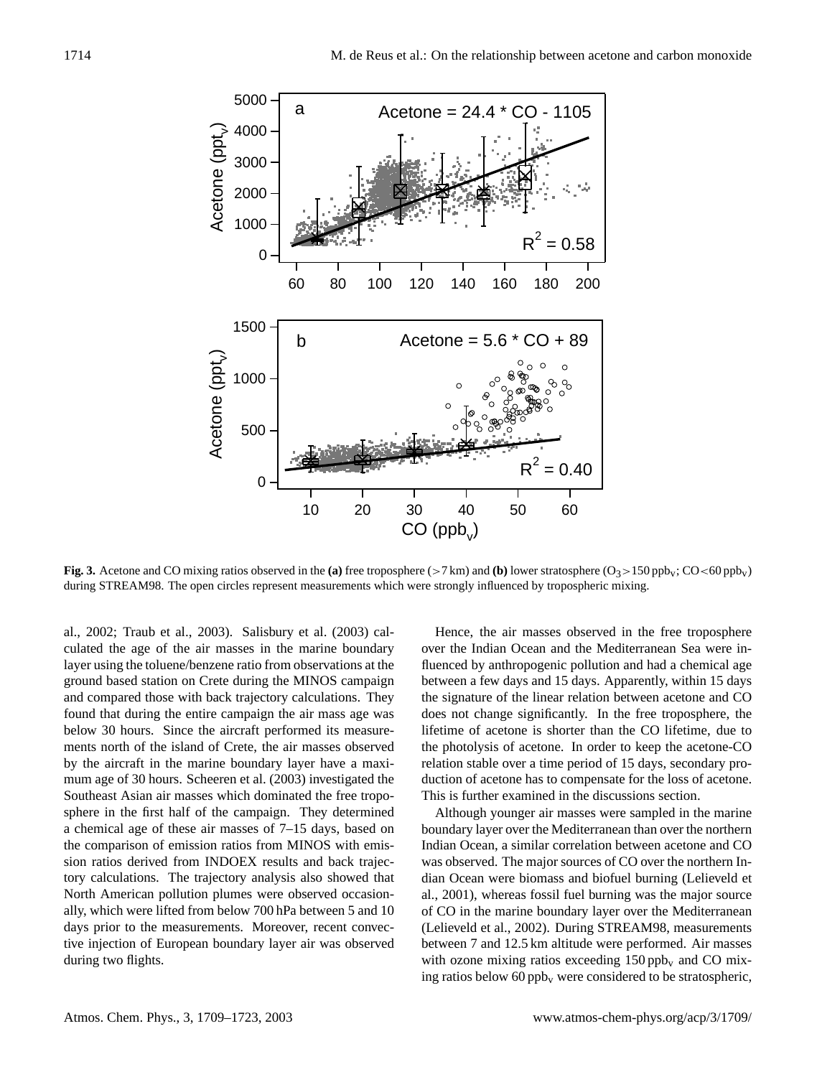

**Fig. 3.** Acetone and CO mixing ratios observed in the **(a)** free troposphere ( $>7$  km) and **(b)** lower stratosphere ( $O_3 > 150$  ppb<sub>v</sub>; CO $<$ 60 ppb<sub>v</sub>) during STREAM98. The open circles represent measurements which were strongly influenced by tropospheric mixing.

al., 2002; Traub et al., 2003). Salisbury et al. (2003) calculated the age of the air masses in the marine boundary layer using the toluene/benzene ratio from observations at the ground based station on Crete during the MINOS campaign and compared those with back trajectory calculations. They found that during the entire campaign the air mass age was below 30 hours. Since the aircraft performed its measurements north of the island of Crete, the air masses observed by the aircraft in the marine boundary layer have a maximum age of 30 hours. Scheeren et al. (2003) investigated the Southeast Asian air masses which dominated the free troposphere in the first half of the campaign. They determined a chemical age of these air masses of 7–15 days, based on the comparison of emission ratios from MINOS with emission ratios derived from INDOEX results and back trajectory calculations. The trajectory analysis also showed that North American pollution plumes were observed occasionally, which were lifted from below 700 hPa between 5 and 10 days prior to the measurements. Moreover, recent convective injection of European boundary layer air was observed during two flights.

Hence, the air masses observed in the free troposphere over the Indian Ocean and the Mediterranean Sea were influenced by anthropogenic pollution and had a chemical age between a few days and 15 days. Apparently, within 15 days the signature of the linear relation between acetone and CO does not change significantly. In the free troposphere, the lifetime of acetone is shorter than the CO lifetime, due to the photolysis of acetone. In order to keep the acetone-CO relation stable over a time period of 15 days, secondary production of acetone has to compensate for the loss of acetone. This is further examined in the discussions section.

Although younger air masses were sampled in the marine boundary layer over the Mediterranean than over the northern Indian Ocean, a similar correlation between acetone and CO was observed. The major sources of CO over the northern Indian Ocean were biomass and biofuel burning (Lelieveld et al., 2001), whereas fossil fuel burning was the major source of CO in the marine boundary layer over the Mediterranean (Lelieveld et al., 2002). During STREAM98, measurements between 7 and 12.5 km altitude were performed. Air masses with ozone mixing ratios exceeding  $150$  ppb<sub>v</sub> and CO mixing ratios below 60 ppb<sub>v</sub> were considered to be stratospheric,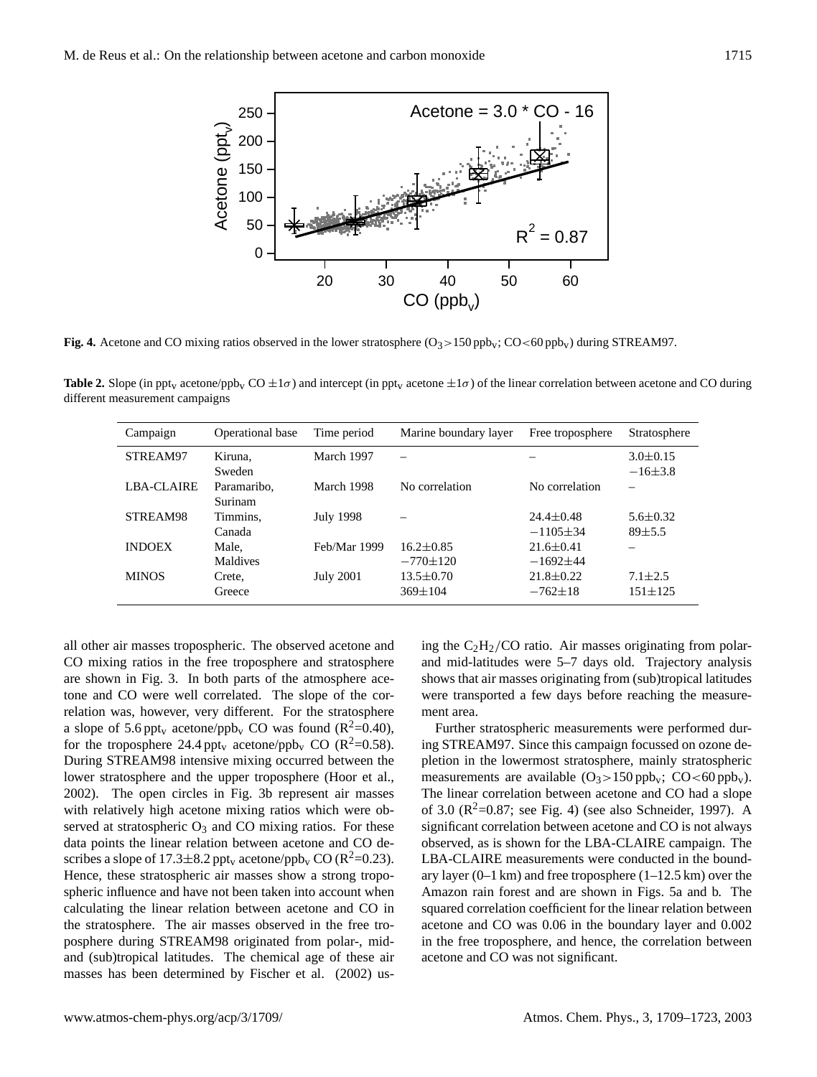

**Fig. 4.** Acetone and CO mixing ratios observed in the lower stratosphere  $(O_3 > 150 \text{ ppb}_v; CO < 60 \text{ ppb}_v)$  during STREAM97.

**Table 2.** Slope (in ppt<sub>v</sub> acetone/ppb<sub>v</sub> CO  $\pm 1\sigma$ ) and intercept (in ppt<sub>v</sub> acetone  $\pm 1\sigma$ ) of the linear correlation between acetone and CO during different measurement campaigns

| Campaign          | Operational base | Time period      | Marine boundary layer | Free troposphere | Stratosphere   |
|-------------------|------------------|------------------|-----------------------|------------------|----------------|
| STREAM97          | Kiruna.          | March 1997       |                       |                  | $3.0 \pm 0.15$ |
|                   | Sweden           |                  |                       |                  | $-16\pm3.8$    |
| <b>LBA-CLAIRE</b> | Paramaribo.      | March 1998       | No correlation        | No correlation   |                |
|                   | Surinam          |                  |                       |                  |                |
| STREAM98          | Timmins.         | July 1998        |                       | $24.4 \pm 0.48$  | $5.6 \pm 0.32$ |
|                   | Canada           |                  |                       | $-1105 \pm 34$   | $89 + 5.5$     |
| <b>INDOEX</b>     | Male,            | Feb/Mar 1999     | $16.2 \pm 0.85$       | $21.6 \pm 0.41$  |                |
|                   | Maldives         |                  | $-770\pm120$          | $-1692+44$       |                |
| <b>MINOS</b>      | Crete,           | <b>July 2001</b> | $13.5 \pm 0.70$       | $21.8 \pm 0.22$  | $7.1 \pm 2.5$  |
|                   | Greece           |                  | $369 \pm 104$         | $-762\pm18$      | $151 + 125$    |

all other air masses tropospheric. The observed acetone and CO mixing ratios in the free troposphere and stratosphere are shown in Fig. 3. In both parts of the atmosphere acetone and CO were well correlated. The slope of the correlation was, however, very different. For the stratosphere a slope of 5.6 ppt<sub>v</sub> acetone/ppb<sub>v</sub> CO was found ( $R^2$ =0.40), for the troposphere 24.4 ppt<sub>v</sub> acetone/ppb<sub>v</sub> CO ( $\mathbb{R}^2$ =0.58). During STREAM98 intensive mixing occurred between the lower stratosphere and the upper troposphere (Hoor et al., 2002). The open circles in Fig. 3b represent air masses with relatively high acetone mixing ratios which were observed at stratospheric  $O_3$  and CO mixing ratios. For these data points the linear relation between acetone and CO describes a slope of 17.3 $\pm$ 8.2 ppt<sub>v</sub> acetone/ppb<sub>v</sub> CO (R<sup>2</sup>=0.23). Hence, these stratospheric air masses show a strong tropospheric influence and have not been taken into account when calculating the linear relation between acetone and CO in the stratosphere. The air masses observed in the free troposphere during STREAM98 originated from polar-, midand (sub)tropical latitudes. The chemical age of these air masses has been determined by Fischer et al. (2002) us-

ing the  $C_2H_2/CO$  ratio. Air masses originating from polarand mid-latitudes were 5–7 days old. Trajectory analysis shows that air masses originating from (sub)tropical latitudes were transported a few days before reaching the measurement area.

Further stratospheric measurements were performed during STREAM97. Since this campaign focussed on ozone depletion in the lowermost stratosphere, mainly stratospheric measurements are available  $(O_3>150 \text{ ppb}_v; CO<60 \text{ ppb}_v)$ . The linear correlation between acetone and CO had a slope of 3.0 ( $R^2$ =0.87; see Fig. 4) (see also Schneider, 1997). A significant correlation between acetone and CO is not always observed, as is shown for the LBA-CLAIRE campaign. The LBA-CLAIRE measurements were conducted in the boundary layer  $(0-1 \text{ km})$  and free troposphere  $(1-12.5 \text{ km})$  over the Amazon rain forest and are shown in Figs. 5a and b. The squared correlation coefficient for the linear relation between acetone and CO was 0.06 in the boundary layer and 0.002 in the free troposphere, and hence, the correlation between acetone and CO was not significant.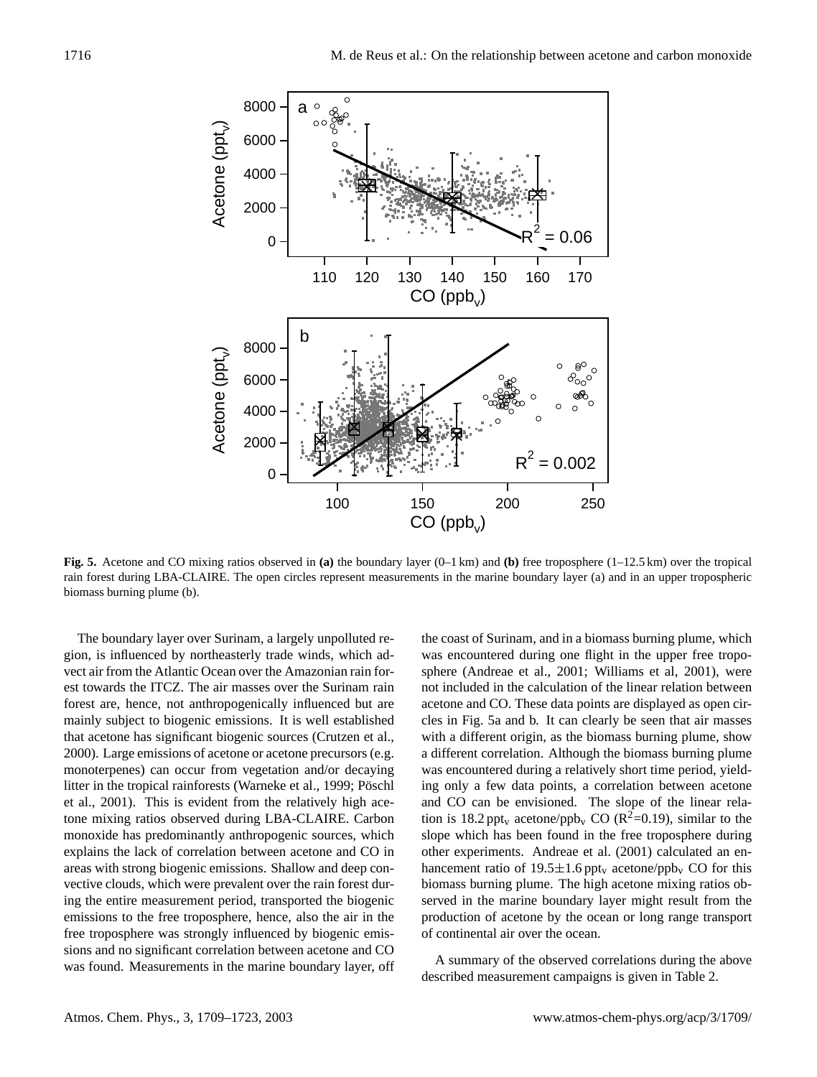

**Fig. 5.** Acetone and CO mixing ratios observed in **(a)** the boundary layer (0–1 km) and **(b)** free troposphere (1–12.5 km) over the tropical rain forest during LBA-CLAIRE. The open circles represent measurements in the marine boundary layer (a) and in an upper tropospheric biomass burning plume (b).

The boundary layer over Surinam, a largely unpolluted region, is influenced by northeasterly trade winds, which advect air from the Atlantic Ocean over the Amazonian rain forest towards the ITCZ. The air masses over the Surinam rain forest are, hence, not anthropogenically influenced but are mainly subject to biogenic emissions. It is well established that acetone has significant biogenic sources (Crutzen et al., 2000). Large emissions of acetone or acetone precursors (e.g. monoterpenes) can occur from vegetation and/or decaying litter in the tropical rainforests (Warneke et al., 1999; Pöschl et al., 2001). This is evident from the relatively high acetone mixing ratios observed during LBA-CLAIRE. Carbon monoxide has predominantly anthropogenic sources, which explains the lack of correlation between acetone and CO in areas with strong biogenic emissions. Shallow and deep convective clouds, which were prevalent over the rain forest during the entire measurement period, transported the biogenic emissions to the free troposphere, hence, also the air in the free troposphere was strongly influenced by biogenic emissions and no significant correlation between acetone and CO was found. Measurements in the marine boundary layer, off the coast of Surinam, and in a biomass burning plume, which was encountered during one flight in the upper free troposphere (Andreae et al., 2001; Williams et al, 2001), were not included in the calculation of the linear relation between acetone and CO. These data points are displayed as open circles in Fig. 5a and b. It can clearly be seen that air masses with a different origin, as the biomass burning plume, show a different correlation. Although the biomass burning plume was encountered during a relatively short time period, yielding only a few data points, a correlation between acetone and CO can be envisioned. The slope of the linear relation is 18.2 ppt<sub>v</sub> acetone/ppb<sub>v</sub> CO ( $\mathbb{R}^2$ =0.19), similar to the slope which has been found in the free troposphere during other experiments. Andreae et al. (2001) calculated an enhancement ratio of 19.5 $\pm$ 1.6 ppt<sub>v</sub> acetone/ppb<sub>v</sub> CO for this biomass burning plume. The high acetone mixing ratios observed in the marine boundary layer might result from the production of acetone by the ocean or long range transport of continental air over the ocean.

A summary of the observed correlations during the above described measurement campaigns is given in Table 2.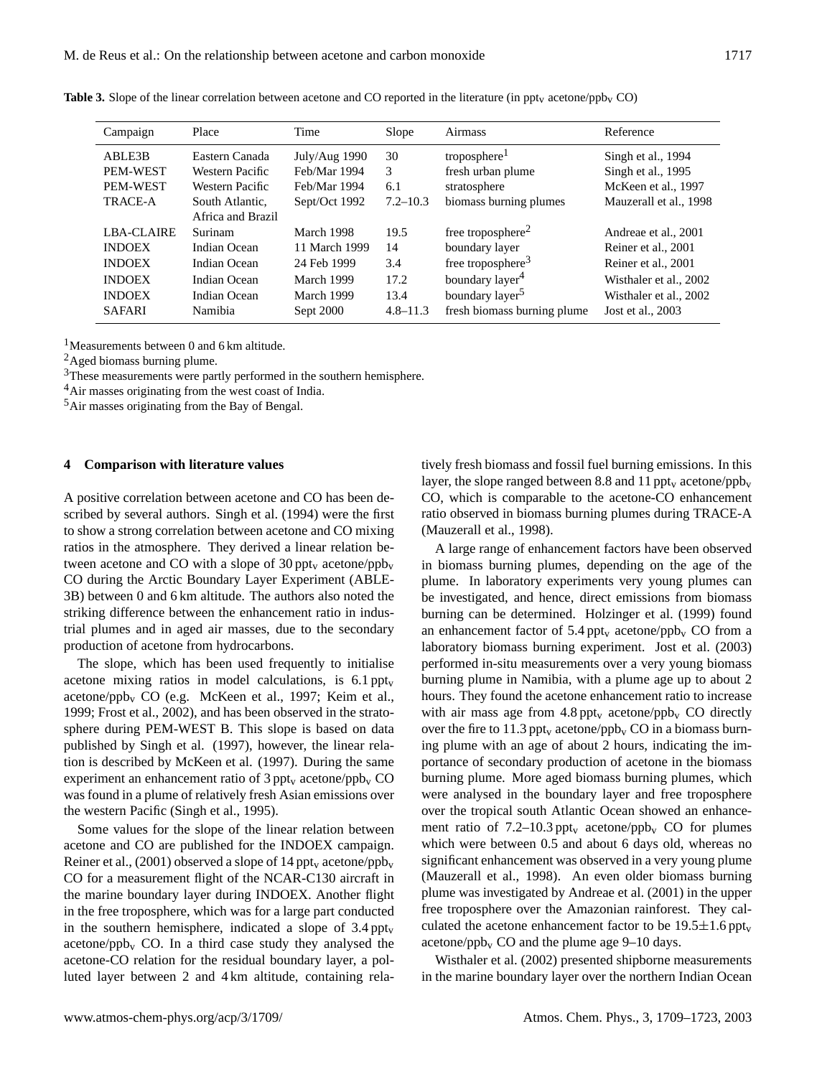| Campaign          | Place             | Time          | Slope        | Airmass                     | Reference              |
|-------------------|-------------------|---------------|--------------|-----------------------------|------------------------|
| ABLE3B            | Eastern Canada    | July/Aug 1990 | 30           | troposphere $1$             | Singh et al., 1994     |
| PEM-WEST          | Western Pacific   | Feb/Mar 1994  | 3            | fresh urban plume           | Singh et al., 1995     |
| <b>PEM-WEST</b>   | Western Pacific   | Feb/Mar 1994  | 6.1          | stratosphere                | McKeen et al., 1997    |
| TRACE-A           | South Atlantic.   | Sept/Oct 1992 | $7.2 - 10.3$ | biomass burning plumes      | Mauzerall et al., 1998 |
|                   | Africa and Brazil |               |              |                             |                        |
| <b>LBA-CLAIRE</b> | Surinam           | March 1998    | 19.5         | free troposphere $2$        | Andreae et al., 2001   |
| <b>INDOEX</b>     | Indian Ocean      | 11 March 1999 | 14           | boundary layer              | Reiner et al., 2001    |
| <b>INDOEX</b>     | Indian Ocean      | 24 Feb 1999   | 3.4          | free troposphere $3$        | Reiner et al., 2001    |
| <b>INDOEX</b>     | Indian Ocean      | March 1999    | 17.2         | boundary layer <sup>4</sup> | Wisthaler et al., 2002 |
| <b>INDOEX</b>     | Indian Ocean      | March 1999    | 13.4         | boundary layer <sup>5</sup> | Wisthaler et al., 2002 |
| <b>SAFARI</b>     | Namibia           | Sept 2000     | $4.8 - 11.3$ | fresh biomass burning plume | Jost et al., 2003      |

**Table 3.** Slope of the linear correlation between acetone and CO reported in the literature (in ppt<sub>v</sub> acetone/ppb<sub>v</sub> CO)

<sup>1</sup>Measurements between 0 and 6 km altitude.

<sup>2</sup>Aged biomass burning plume.

<sup>3</sup>These measurements were partly performed in the southern hemisphere.

<sup>4</sup>Air masses originating from the west coast of India.

<sup>5</sup>Air masses originating from the Bay of Bengal.

#### **4 Comparison with literature values**

A positive correlation between acetone and CO has been described by several authors. Singh et al. (1994) were the first to show a strong correlation between acetone and CO mixing ratios in the atmosphere. They derived a linear relation between acetone and CO with a slope of  $30 \text{ppt}_v$  acetone/ppb<sub>v</sub> CO during the Arctic Boundary Layer Experiment (ABLE-3B) between 0 and 6 km altitude. The authors also noted the striking difference between the enhancement ratio in industrial plumes and in aged air masses, due to the secondary production of acetone from hydrocarbons.

The slope, which has been used frequently to initialise acetone mixing ratios in model calculations, is  $6.1 \text{ppt}_v$ acetone/ppb<sup>v</sup> CO (e.g. McKeen et al., 1997; Keim et al., 1999; Frost et al., 2002), and has been observed in the stratosphere during PEM-WEST B. This slope is based on data published by Singh et al. (1997), however, the linear relation is described by McKeen et al. (1997). During the same experiment an enhancement ratio of  $3 \text{ ppt}_v$  acetone/ppb<sub>v</sub> CO was found in a plume of relatively fresh Asian emissions over the western Pacific (Singh et al., 1995).

Some values for the slope of the linear relation between acetone and CO are published for the INDOEX campaign. Reiner et al., (2001) observed a slope of 14 ppt<sub>v</sub> acetone/ppb<sub>v</sub> CO for a measurement flight of the NCAR-C130 aircraft in the marine boundary layer during INDOEX. Another flight in the free troposphere, which was for a large part conducted in the southern hemisphere, indicated a slope of  $3.4$  ppt<sub>v</sub> acetone/ppb<sub>v</sub> CO. In a third case study they analysed the acetone-CO relation for the residual boundary layer, a polluted layer between 2 and 4 km altitude, containing relatively fresh biomass and fossil fuel burning emissions. In this layer, the slope ranged between 8.8 and 11 ppt<sub>v</sub> acetone/ppb<sub>v</sub> CO, which is comparable to the acetone-CO enhancement ratio observed in biomass burning plumes during TRACE-A (Mauzerall et al., 1998).

A large range of enhancement factors have been observed in biomass burning plumes, depending on the age of the plume. In laboratory experiments very young plumes can be investigated, and hence, direct emissions from biomass burning can be determined. Holzinger et al. (1999) found an enhancement factor of 5.4 ppt<sub>v</sub> acetone/ppb<sub>v</sub> CO from a laboratory biomass burning experiment. Jost et al. (2003) performed in-situ measurements over a very young biomass burning plume in Namibia, with a plume age up to about 2 hours. They found the acetone enhancement ratio to increase with air mass age from  $4.8 \text{ pb}$ , acetone/ppb<sub>v</sub> CO directly over the fire to 11.3 ppt<sub>v</sub> acetone/ppb<sub>v</sub> CO in a biomass burning plume with an age of about 2 hours, indicating the importance of secondary production of acetone in the biomass burning plume. More aged biomass burning plumes, which were analysed in the boundary layer and free troposphere over the tropical south Atlantic Ocean showed an enhancement ratio of 7.2–10.3 ppt<sub>v</sub> acetone/ppb<sub>v</sub> CO for plumes which were between 0.5 and about 6 days old, whereas no significant enhancement was observed in a very young plume (Mauzerall et al., 1998). An even older biomass burning plume was investigated by Andreae et al. (2001) in the upper free troposphere over the Amazonian rainforest. They calculated the acetone enhancement factor to be  $19.5 \pm 1.6$  ppt<sub>v</sub> acetone/ppb<sub>v</sub> CO and the plume age  $9-10$  days.

Wisthaler et al. (2002) presented shipborne measurements in the marine boundary layer over the northern Indian Ocean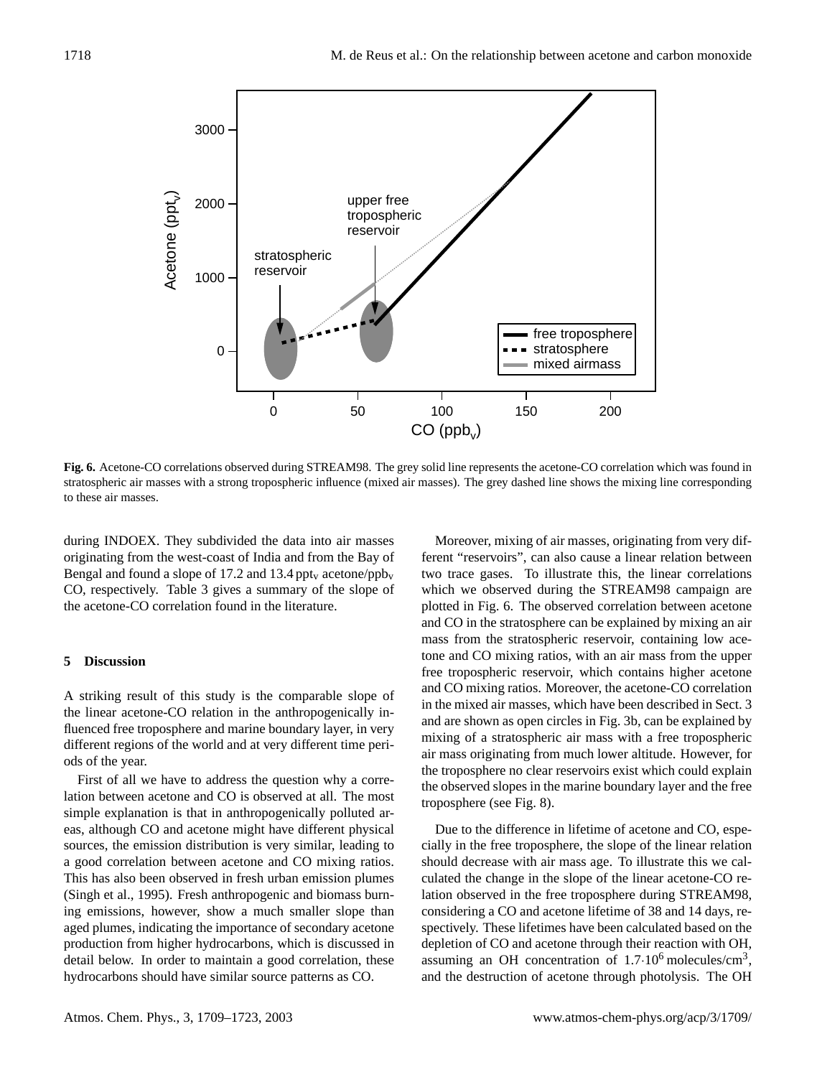

**Fig. 6.** Acetone-CO correlations observed during STREAM98. The grey solid line represents the acetone-CO correlation which was found in stratospheric air masses with a strong tropospheric influence (mixed air masses). The grey dashed line shows the mixing line corresponding to these air masses.

during INDOEX. They subdivided the data into air masses originating from the west-coast of India and from the Bay of Bengal and found a slope of 17.2 and 13.4 ppt<sub>v</sub> acetone/ppb<sub>v</sub> CO, respectively. Table 3 gives a summary of the slope of the acetone-CO correlation found in the literature.

## **5 Discussion**

A striking result of this study is the comparable slope of the linear acetone-CO relation in the anthropogenically influenced free troposphere and marine boundary layer, in very different regions of the world and at very different time periods of the year.

First of all we have to address the question why a correlation between acetone and CO is observed at all. The most simple explanation is that in anthropogenically polluted areas, although CO and acetone might have different physical sources, the emission distribution is very similar, leading to a good correlation between acetone and CO mixing ratios. This has also been observed in fresh urban emission plumes (Singh et al., 1995). Fresh anthropogenic and biomass burning emissions, however, show a much smaller slope than aged plumes, indicating the importance of secondary acetone production from higher hydrocarbons, which is discussed in detail below. In order to maintain a good correlation, these hydrocarbons should have similar source patterns as CO.

Moreover, mixing of air masses, originating from very different "reservoirs", can also cause a linear relation between two trace gases. To illustrate this, the linear correlations which we observed during the STREAM98 campaign are plotted in Fig. 6. The observed correlation between acetone and CO in the stratosphere can be explained by mixing an air mass from the stratospheric reservoir, containing low acetone and CO mixing ratios, with an air mass from the upper free tropospheric reservoir, which contains higher acetone and CO mixing ratios. Moreover, the acetone-CO correlation in the mixed air masses, which have been described in Sect. 3 and are shown as open circles in Fig. 3b, can be explained by mixing of a stratospheric air mass with a free tropospheric air mass originating from much lower altitude. However, for the troposphere no clear reservoirs exist which could explain the observed slopes in the marine boundary layer and the free troposphere (see Fig. 8).

Due to the difference in lifetime of acetone and CO, especially in the free troposphere, the slope of the linear relation should decrease with air mass age. To illustrate this we calculated the change in the slope of the linear acetone-CO relation observed in the free troposphere during STREAM98, considering a CO and acetone lifetime of 38 and 14 days, respectively. These lifetimes have been calculated based on the depletion of CO and acetone through their reaction with OH, assuming an OH concentration of  $1.7 \cdot 10^6$  molecules/cm<sup>3</sup>, and the destruction of acetone through photolysis. The OH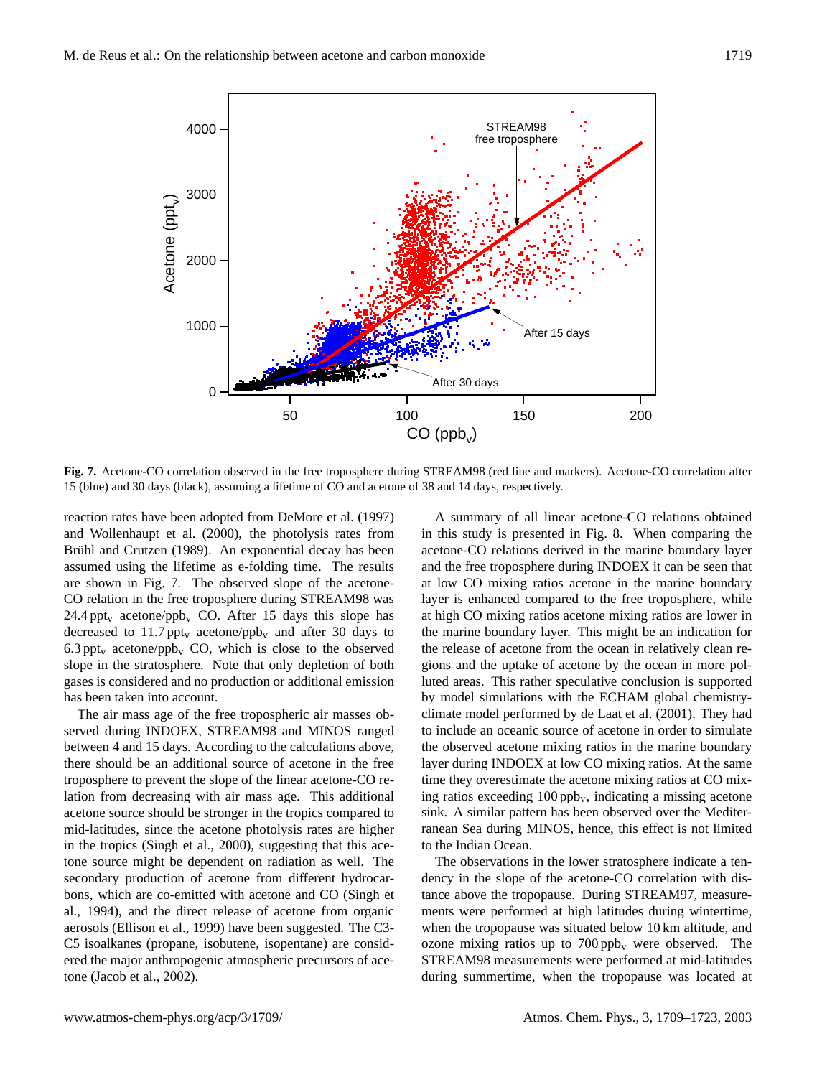

**Fig. 7.** Acetone-CO correlation observed in the free troposphere during STREAM98 (red line and markers). Acetone-CO correlation after 15 (blue) and 30 days (black), assuming a lifetime of CO and acetone of 38 and 14 days, respectively.

reaction rates have been adopted from DeMore et al. (1997) and Wollenhaupt et al. (2000), the photolysis rates from Brühl and Crutzen (1989). An exponential decay has been assumed using the lifetime as e-folding time. The results are shown in Fig. 7. The observed slope of the acetone-CO relation in the free troposphere during STREAM98 was 24.4 ppt<sub>v</sub> acetone/ppb<sub>v</sub> CO. After 15 days this slope has decreased to 11.7 ppt<sub>v</sub> acetone/ppb<sub>v</sub> and after 30 days to 6.3 ppt<sub>v</sub> acetone/ppb<sub>v</sub> CO, which is close to the observed slope in the stratosphere. Note that only depletion of both gases is considered and no production or additional emission has been taken into account.

The air mass age of the free tropospheric air masses observed during INDOEX, STREAM98 and MINOS ranged between 4 and 15 days. According to the calculations above, there should be an additional source of acetone in the free troposphere to prevent the slope of the linear acetone-CO relation from decreasing with air mass age. This additional acetone source should be stronger in the tropics compared to mid-latitudes, since the acetone photolysis rates are higher in the tropics (Singh et al., 2000), suggesting that this acetone source might be dependent on radiation as well. The secondary production of acetone from different hydrocarbons, which are co-emitted with acetone and CO (Singh et al., 1994), and the direct release of acetone from organic aerosols (Ellison et al., 1999) have been suggested. The C3- C5 isoalkanes (propane, isobutene, isopentane) are considered the major anthropogenic atmospheric precursors of acetone (Jacob et al., 2002).

A summary of all linear acetone-CO relations obtained in this study is presented in Fig. 8. When comparing the acetone-CO relations derived in the marine boundary layer and the free troposphere during INDOEX it can be seen that at low CO mixing ratios acetone in the marine boundary layer is enhanced compared to the free troposphere, while at high CO mixing ratios acetone mixing ratios are lower in the marine boundary layer. This might be an indication for the release of acetone from the ocean in relatively clean regions and the uptake of acetone by the ocean in more polluted areas. This rather speculative conclusion is supported by model simulations with the ECHAM global chemistryclimate model performed by de Laat et al. (2001). They had to include an oceanic source of acetone in order to simulate the observed acetone mixing ratios in the marine boundary layer during INDOEX at low CO mixing ratios. At the same time they overestimate the acetone mixing ratios at CO mixing ratios exceeding  $100$  ppb<sub>v</sub>, indicating a missing acetone sink. A similar pattern has been observed over the Mediterranean Sea during MINOS, hence, this effect is not limited to the Indian Ocean.

The observations in the lower stratosphere indicate a tendency in the slope of the acetone-CO correlation with distance above the tropopause. During STREAM97, measurements were performed at high latitudes during wintertime, when the tropopause was situated below 10 km altitude, and ozone mixing ratios up to  $700$  ppb<sub>v</sub> were observed. The STREAM98 measurements were performed at mid-latitudes during summertime, when the tropopause was located at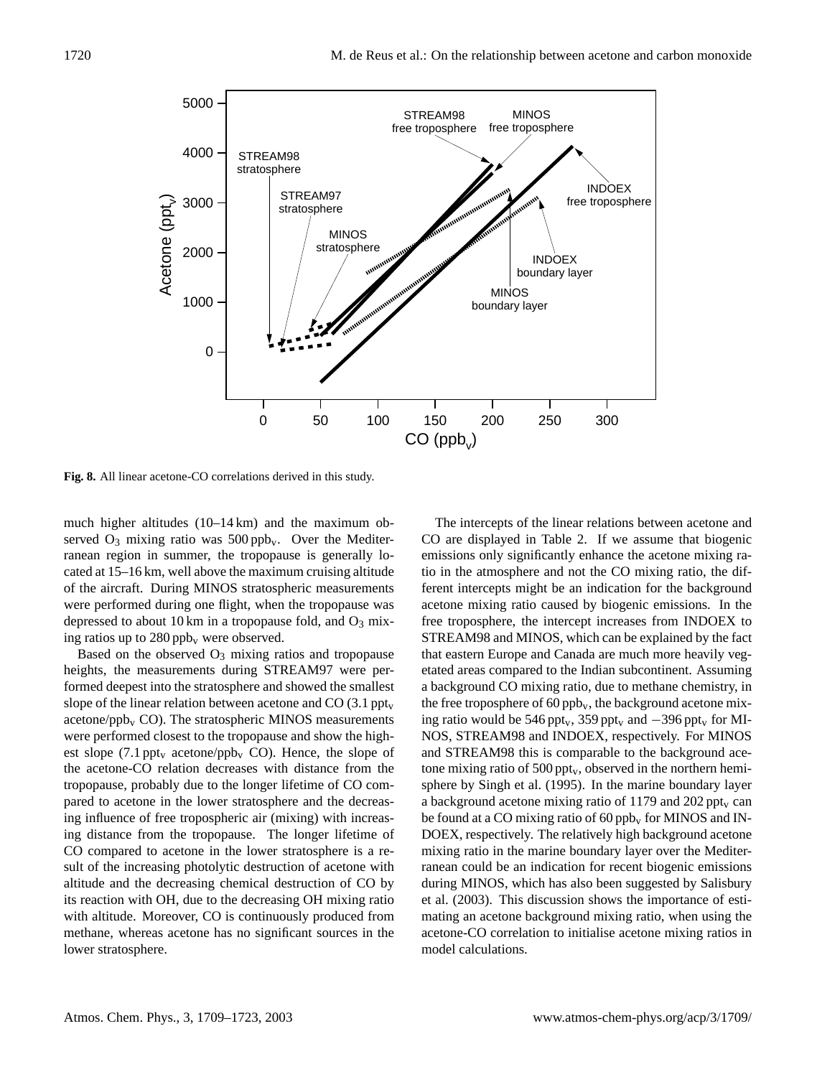

**Fig. 8.** All linear acetone-CO correlations derived in this study.

much higher altitudes (10–14 km) and the maximum observed  $O_3$  mixing ratio was 500 ppb<sub>v</sub>. Over the Mediterranean region in summer, the tropopause is generally located at 15–16 km, well above the maximum cruising altitude of the aircraft. During MINOS stratospheric measurements were performed during one flight, when the tropopause was depressed to about 10 km in a tropopause fold, and  $O_3$  mixing ratios up to  $280$  ppb<sub>v</sub> were observed.

Based on the observed  $O_3$  mixing ratios and tropopause heights, the measurements during STREAM97 were performed deepest into the stratosphere and showed the smallest slope of the linear relation between acetone and CO  $(3.1 \text{ppt}_v)$ acetone/ $ppb<sub>v</sub>$  CO). The stratospheric MINOS measurements were performed closest to the tropopause and show the highest slope (7.1 ppt<sub>v</sub> acetone/ppb<sub>v</sub> CO). Hence, the slope of the acetone-CO relation decreases with distance from the tropopause, probably due to the longer lifetime of CO compared to acetone in the lower stratosphere and the decreasing influence of free tropospheric air (mixing) with increasing distance from the tropopause. The longer lifetime of CO compared to acetone in the lower stratosphere is a result of the increasing photolytic destruction of acetone with altitude and the decreasing chemical destruction of CO by its reaction with OH, due to the decreasing OH mixing ratio with altitude. Moreover, CO is continuously produced from methane, whereas acetone has no significant sources in the lower stratosphere.

The intercepts of the linear relations between acetone and CO are displayed in Table 2. If we assume that biogenic emissions only significantly enhance the acetone mixing ratio in the atmosphere and not the CO mixing ratio, the different intercepts might be an indication for the background acetone mixing ratio caused by biogenic emissions. In the free troposphere, the intercept increases from INDOEX to STREAM98 and MINOS, which can be explained by the fact that eastern Europe and Canada are much more heavily vegetated areas compared to the Indian subcontinent. Assuming a background CO mixing ratio, due to methane chemistry, in the free troposphere of  $60$  ppb<sub>v</sub>, the background acetone mixing ratio would be 546 ppt<sub>v</sub>, 359 ppt<sub>v</sub> and  $-396$  ppt<sub>v</sub> for MI-NOS, STREAM98 and INDOEX, respectively. For MINOS and STREAM98 this is comparable to the background acetone mixing ratio of  $500 \text{ppt}_v$ , observed in the northern hemisphere by Singh et al. (1995). In the marine boundary layer a background acetone mixing ratio of 1179 and 202 ppt<sub>v</sub> can be found at a CO mixing ratio of  $60$  ppb<sub>v</sub> for MINOS and IN-DOEX, respectively. The relatively high background acetone mixing ratio in the marine boundary layer over the Mediterranean could be an indication for recent biogenic emissions during MINOS, which has also been suggested by Salisbury et al. (2003). This discussion shows the importance of estimating an acetone background mixing ratio, when using the acetone-CO correlation to initialise acetone mixing ratios in model calculations.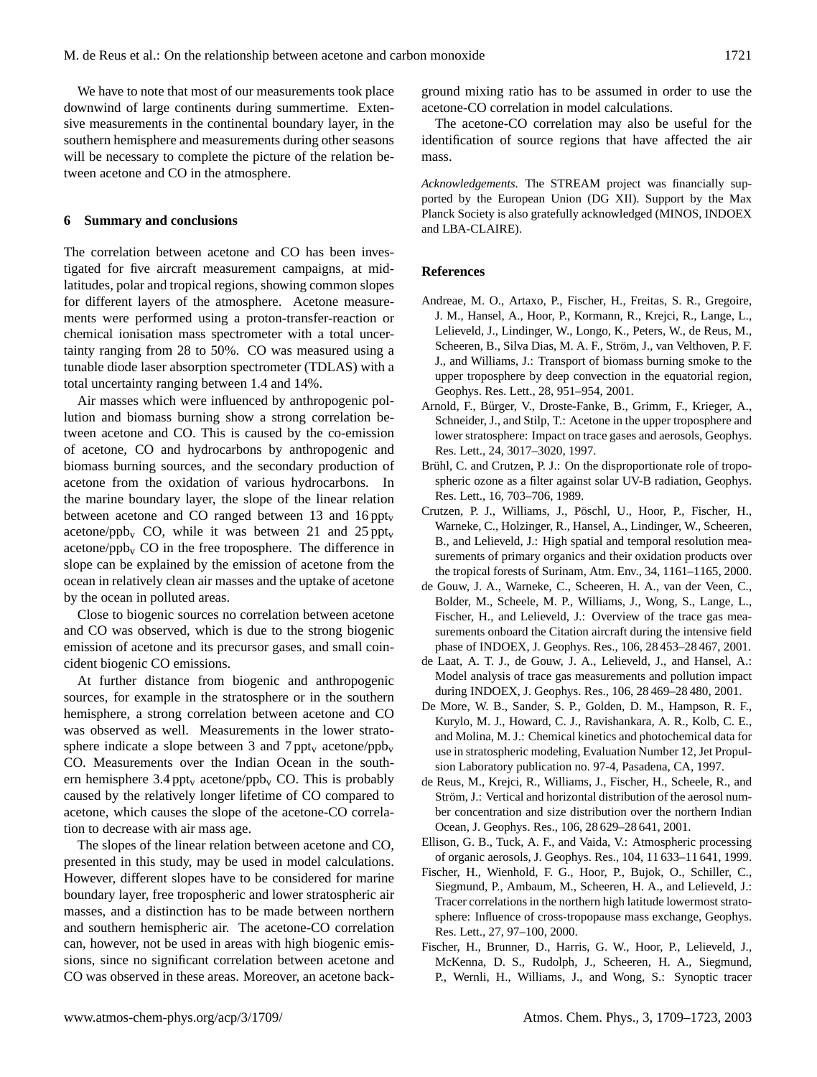We have to note that most of our measurements took place downwind of large continents during summertime. Extensive measurements in the continental boundary layer, in the southern hemisphere and measurements during other seasons will be necessary to complete the picture of the relation between acetone and CO in the atmosphere.

#### **6 Summary and conclusions**

The correlation between acetone and CO has been investigated for five aircraft measurement campaigns, at midlatitudes, polar and tropical regions, showing common slopes for different layers of the atmosphere. Acetone measurements were performed using a proton-transfer-reaction or chemical ionisation mass spectrometer with a total uncertainty ranging from 28 to 50%. CO was measured using a tunable diode laser absorption spectrometer (TDLAS) with a total uncertainty ranging between 1.4 and 14%.

Air masses which were influenced by anthropogenic pollution and biomass burning show a strong correlation between acetone and CO. This is caused by the co-emission of acetone, CO and hydrocarbons by anthropogenic and biomass burning sources, and the secondary production of acetone from the oxidation of various hydrocarbons. In the marine boundary layer, the slope of the linear relation between acetone and CO ranged between 13 and  $16 \text{ppt}_v$ acetone/ppb<sub>v</sub> CO, while it was between 21 and 25 ppt<sub>v</sub> acetone/ppb<sub>v</sub> CO in the free troposphere. The difference in slope can be explained by the emission of acetone from the ocean in relatively clean air masses and the uptake of acetone by the ocean in polluted areas.

Close to biogenic sources no correlation between acetone and CO was observed, which is due to the strong biogenic emission of acetone and its precursor gases, and small coincident biogenic CO emissions.

At further distance from biogenic and anthropogenic sources, for example in the stratosphere or in the southern hemisphere, a strong correlation between acetone and CO was observed as well. Measurements in the lower stratosphere indicate a slope between 3 and 7 ppt<sub>v</sub> acetone/ppb<sub>v</sub> CO. Measurements over the Indian Ocean in the southern hemisphere 3.4 ppt<sub>v</sub> acetone/ppb<sub>v</sub> CO. This is probably caused by the relatively longer lifetime of CO compared to acetone, which causes the slope of the acetone-CO correlation to decrease with air mass age.

The slopes of the linear relation between acetone and CO, presented in this study, may be used in model calculations. However, different slopes have to be considered for marine boundary layer, free tropospheric and lower stratospheric air masses, and a distinction has to be made between northern and southern hemispheric air. The acetone-CO correlation can, however, not be used in areas with high biogenic emissions, since no significant correlation between acetone and CO was observed in these areas. Moreover, an acetone back-

ground mixing ratio has to be assumed in order to use the acetone-CO correlation in model calculations.

The acetone-CO correlation may also be useful for the identification of source regions that have affected the air mass.

*Acknowledgements.* The STREAM project was financially supported by the European Union (DG XII). Support by the Max Planck Society is also gratefully acknowledged (MINOS, INDOEX and LBA-CLAIRE).

#### **References**

- Andreae, M. O., Artaxo, P., Fischer, H., Freitas, S. R., Gregoire, J. M., Hansel, A., Hoor, P., Kormann, R., Krejci, R., Lange, L., Lelieveld, J., Lindinger, W., Longo, K., Peters, W., de Reus, M., Scheeren, B., Silva Dias, M. A. F., Ström, J., van Velthoven, P. F. J., and Williams, J.: Transport of biomass burning smoke to the upper troposphere by deep convection in the equatorial region, Geophys. Res. Lett., 28, 951–954, 2001.
- Arnold, F., Burger, V., Droste-Fanke, B., Grimm, F., Krieger, A., ¨ Schneider, J., and Stilp, T.: Acetone in the upper troposphere and lower stratosphere: Impact on trace gases and aerosols, Geophys. Res. Lett., 24, 3017–3020, 1997.
- Brühl, C. and Crutzen, P. J.: On the disproportionate role of tropospheric ozone as a filter against solar UV-B radiation, Geophys. Res. Lett., 16, 703–706, 1989.
- Crutzen, P. J., Williams, J., Pöschl, U., Hoor, P., Fischer, H., Warneke, C., Holzinger, R., Hansel, A., Lindinger, W., Scheeren, B., and Lelieveld, J.: High spatial and temporal resolution measurements of primary organics and their oxidation products over the tropical forests of Surinam, Atm. Env., 34, 1161–1165, 2000.
- de Gouw, J. A., Warneke, C., Scheeren, H. A., van der Veen, C., Bolder, M., Scheele, M. P., Williams, J., Wong, S., Lange, L., Fischer, H., and Lelieveld, J.: Overview of the trace gas measurements onboard the Citation aircraft during the intensive field phase of INDOEX, J. Geophys. Res., 106, 28 453–28 467, 2001.
- de Laat, A. T. J., de Gouw, J. A., Lelieveld, J., and Hansel, A.: Model analysis of trace gas measurements and pollution impact during INDOEX, J. Geophys. Res., 106, 28 469–28 480, 2001.
- De More, W. B., Sander, S. P., Golden, D. M., Hampson, R. F., Kurylo, M. J., Howard, C. J., Ravishankara, A. R., Kolb, C. E., and Molina, M. J.: Chemical kinetics and photochemical data for use in stratospheric modeling, Evaluation Number 12, Jet Propulsion Laboratory publication no. 97-4, Pasadena, CA, 1997.
- de Reus, M., Krejci, R., Williams, J., Fischer, H., Scheele, R., and Ström, J.: Vertical and horizontal distribution of the aerosol number concentration and size distribution over the northern Indian Ocean, J. Geophys. Res., 106, 28 629–28 641, 2001.
- Ellison, G. B., Tuck, A. F., and Vaida, V.: Atmospheric processing of organic aerosols, J. Geophys. Res., 104, 11 633–11 641, 1999.
- Fischer, H., Wienhold, F. G., Hoor, P., Bujok, O., Schiller, C., Siegmund, P., Ambaum, M., Scheeren, H. A., and Lelieveld, J.: Tracer correlations in the northern high latitude lowermost stratosphere: Influence of cross-tropopause mass exchange, Geophys. Res. Lett., 27, 97–100, 2000.
- Fischer, H., Brunner, D., Harris, G. W., Hoor, P., Lelieveld, J., McKenna, D. S., Rudolph, J., Scheeren, H. A., Siegmund, P., Wernli, H., Williams, J., and Wong, S.: Synoptic tracer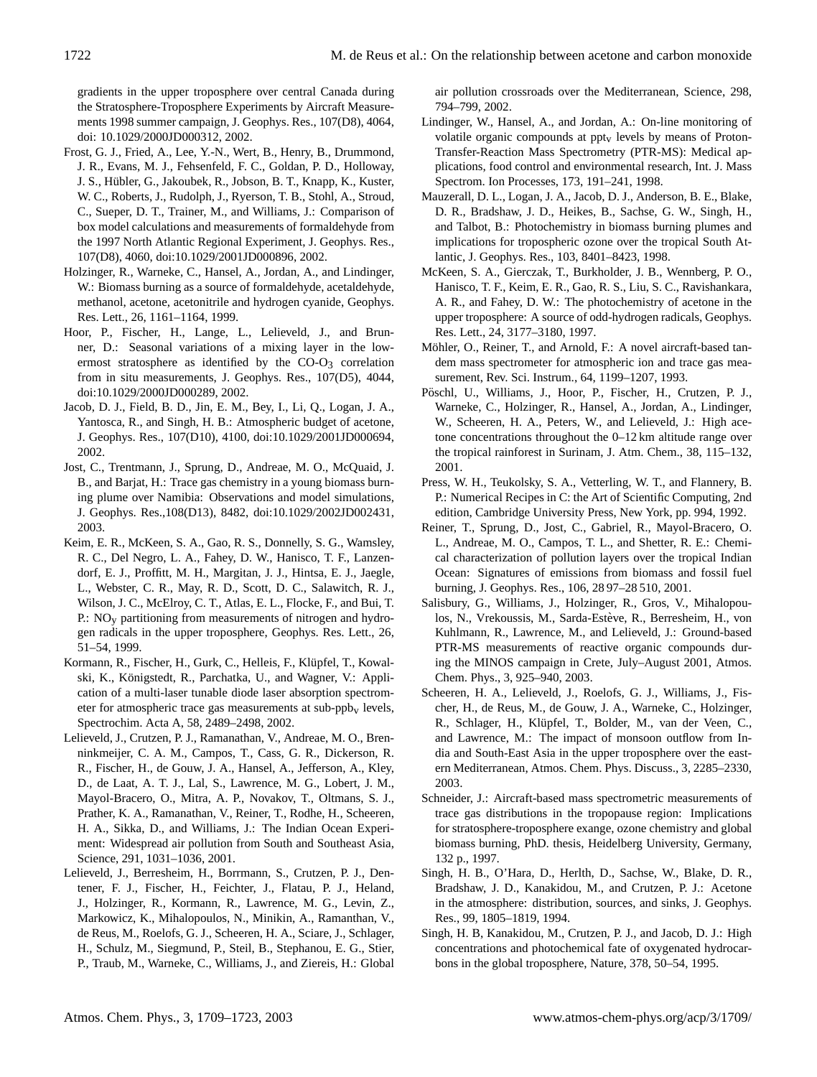gradients in the upper troposphere over central Canada during the Stratosphere-Troposphere Experiments by Aircraft Measurements 1998 summer campaign, J. Geophys. Res., 107(D8), 4064, doi: 10.1029/2000JD000312, 2002.

- Frost, G. J., Fried, A., Lee, Y.-N., Wert, B., Henry, B., Drummond, J. R., Evans, M. J., Fehsenfeld, F. C., Goldan, P. D., Holloway, J. S., Hübler, G., Jakoubek, R., Jobson, B. T., Knapp, K., Kuster, W. C., Roberts, J., Rudolph, J., Ryerson, T. B., Stohl, A., Stroud, C., Sueper, D. T., Trainer, M., and Williams, J.: Comparison of box model calculations and measurements of formaldehyde from the 1997 North Atlantic Regional Experiment, J. Geophys. Res., 107(D8), 4060, doi:10.1029/2001JD000896, 2002.
- Holzinger, R., Warneke, C., Hansel, A., Jordan, A., and Lindinger, W.: Biomass burning as a source of formaldehyde, acetaldehyde, methanol, acetone, acetonitrile and hydrogen cyanide, Geophys. Res. Lett., 26, 1161–1164, 1999.
- Hoor, P., Fischer, H., Lange, L., Lelieveld, J., and Brunner, D.: Seasonal variations of a mixing layer in the lowermost stratosphere as identified by the  $CO-O<sub>3</sub>$  correlation from in situ measurements, J. Geophys. Res., 107(D5), 4044, doi:10.1029/2000JD000289, 2002.
- Jacob, D. J., Field, B. D., Jin, E. M., Bey, I., Li, Q., Logan, J. A., Yantosca, R., and Singh, H. B.: Atmospheric budget of acetone, J. Geophys. Res., 107(D10), 4100, doi:10.1029/2001JD000694, 2002.
- Jost, C., Trentmann, J., Sprung, D., Andreae, M. O., McQuaid, J. B., and Barjat, H.: Trace gas chemistry in a young biomass burning plume over Namibia: Observations and model simulations, J. Geophys. Res.,108(D13), 8482, doi:10.1029/2002JD002431, 2003.
- Keim, E. R., McKeen, S. A., Gao, R. S., Donnelly, S. G., Wamsley, R. C., Del Negro, L. A., Fahey, D. W., Hanisco, T. F., Lanzendorf, E. J., Proffitt, M. H., Margitan, J. J., Hintsa, E. J., Jaegle, L., Webster, C. R., May, R. D., Scott, D. C., Salawitch, R. J., Wilson, J. C., McElroy, C. T., Atlas, E. L., Flocke, F., and Bui, T. P.: NO<sub>y</sub> partitioning from measurements of nitrogen and hydrogen radicals in the upper troposphere, Geophys. Res. Lett., 26, 51–54, 1999.
- Kormann, R., Fischer, H., Gurk, C., Helleis, F., Klüpfel, T., Kowalski, K., Königstedt, R., Parchatka, U., and Wagner, V.: Application of a multi-laser tunable diode laser absorption spectrometer for atmospheric trace gas measurements at  $sub-ppb<sub>v</sub>$  levels, Spectrochim. Acta A, 58, 2489–2498, 2002.
- Lelieveld, J., Crutzen, P. J., Ramanathan, V., Andreae, M. O., Brenninkmeijer, C. A. M., Campos, T., Cass, G. R., Dickerson, R. R., Fischer, H., de Gouw, J. A., Hansel, A., Jefferson, A., Kley, D., de Laat, A. T. J., Lal, S., Lawrence, M. G., Lobert, J. M., Mayol-Bracero, O., Mitra, A. P., Novakov, T., Oltmans, S. J., Prather, K. A., Ramanathan, V., Reiner, T., Rodhe, H., Scheeren, H. A., Sikka, D., and Williams, J.: The Indian Ocean Experiment: Widespread air pollution from South and Southeast Asia, Science, 291, 1031–1036, 2001.
- Lelieveld, J., Berresheim, H., Borrmann, S., Crutzen, P. J., Dentener, F. J., Fischer, H., Feichter, J., Flatau, P. J., Heland, J., Holzinger, R., Kormann, R., Lawrence, M. G., Levin, Z., Markowicz, K., Mihalopoulos, N., Minikin, A., Ramanthan, V., de Reus, M., Roelofs, G. J., Scheeren, H. A., Sciare, J., Schlager, H., Schulz, M., Siegmund, P., Steil, B., Stephanou, E. G., Stier, P., Traub, M., Warneke, C., Williams, J., and Ziereis, H.: Global

air pollution crossroads over the Mediterranean, Science, 298, 794–799, 2002.

- Lindinger, W., Hansel, A., and Jordan, A.: On-line monitoring of volatile organic compounds at ppt<sub>v</sub> levels by means of Proton-Transfer-Reaction Mass Spectrometry (PTR-MS): Medical applications, food control and environmental research, Int. J. Mass Spectrom. Ion Processes, 173, 191–241, 1998.
- Mauzerall, D. L., Logan, J. A., Jacob, D. J., Anderson, B. E., Blake, D. R., Bradshaw, J. D., Heikes, B., Sachse, G. W., Singh, H., and Talbot, B.: Photochemistry in biomass burning plumes and implications for tropospheric ozone over the tropical South Atlantic, J. Geophys. Res., 103, 8401–8423, 1998.
- McKeen, S. A., Gierczak, T., Burkholder, J. B., Wennberg, P. O., Hanisco, T. F., Keim, E. R., Gao, R. S., Liu, S. C., Ravishankara, A. R., and Fahey, D. W.: The photochemistry of acetone in the upper troposphere: A source of odd-hydrogen radicals, Geophys. Res. Lett., 24, 3177–3180, 1997.
- Möhler, O., Reiner, T., and Arnold, F.: A novel aircraft-based tandem mass spectrometer for atmospheric ion and trace gas measurement, Rev. Sci. Instrum., 64, 1199–1207, 1993.
- Pöschl, U., Williams, J., Hoor, P., Fischer, H., Crutzen, P. J., Warneke, C., Holzinger, R., Hansel, A., Jordan, A., Lindinger, W., Scheeren, H. A., Peters, W., and Lelieveld, J.: High acetone concentrations throughout the 0–12 km altitude range over the tropical rainforest in Surinam, J. Atm. Chem., 38, 115–132, 2001.
- Press, W. H., Teukolsky, S. A., Vetterling, W. T., and Flannery, B. P.: Numerical Recipes in C: the Art of Scientific Computing, 2nd edition, Cambridge University Press, New York, pp. 994, 1992.
- Reiner, T., Sprung, D., Jost, C., Gabriel, R., Mayol-Bracero, O. L., Andreae, M. O., Campos, T. L., and Shetter, R. E.: Chemical characterization of pollution layers over the tropical Indian Ocean: Signatures of emissions from biomass and fossil fuel burning, J. Geophys. Res., 106, 28 97–28 510, 2001.
- Salisbury, G., Williams, J., Holzinger, R., Gros, V., Mihalopoulos, N., Vrekoussis, M., Sarda-Estève, R., Berresheim, H., von Kuhlmann, R., Lawrence, M., and Lelieveld, J.: Ground-based PTR-MS measurements of reactive organic compounds during the MINOS campaign in Crete, July–August 2001, Atmos. Chem. Phys., 3, 925–940, 2003.
- Scheeren, H. A., Lelieveld, J., Roelofs, G. J., Williams, J., Fischer, H., de Reus, M., de Gouw, J. A., Warneke, C., Holzinger, R., Schlager, H., Klüpfel, T., Bolder, M., van der Veen, C., and Lawrence, M.: The impact of monsoon outflow from India and South-East Asia in the upper troposphere over the eastern Mediterranean, Atmos. Chem. Phys. Discuss., 3, 2285–2330, 2003.
- Schneider, J.: Aircraft-based mass spectrometric measurements of trace gas distributions in the tropopause region: Implications for stratosphere-troposphere exange, ozone chemistry and global biomass burning, PhD. thesis, Heidelberg University, Germany, 132 p., 1997.
- Singh, H. B., O'Hara, D., Herlth, D., Sachse, W., Blake, D. R., Bradshaw, J. D., Kanakidou, M., and Crutzen, P. J.: Acetone in the atmosphere: distribution, sources, and sinks, J. Geophys. Res., 99, 1805–1819, 1994.
- Singh, H. B, Kanakidou, M., Crutzen, P. J., and Jacob, D. J.: High concentrations and photochemical fate of oxygenated hydrocarbons in the global troposphere, Nature, 378, 50–54, 1995.